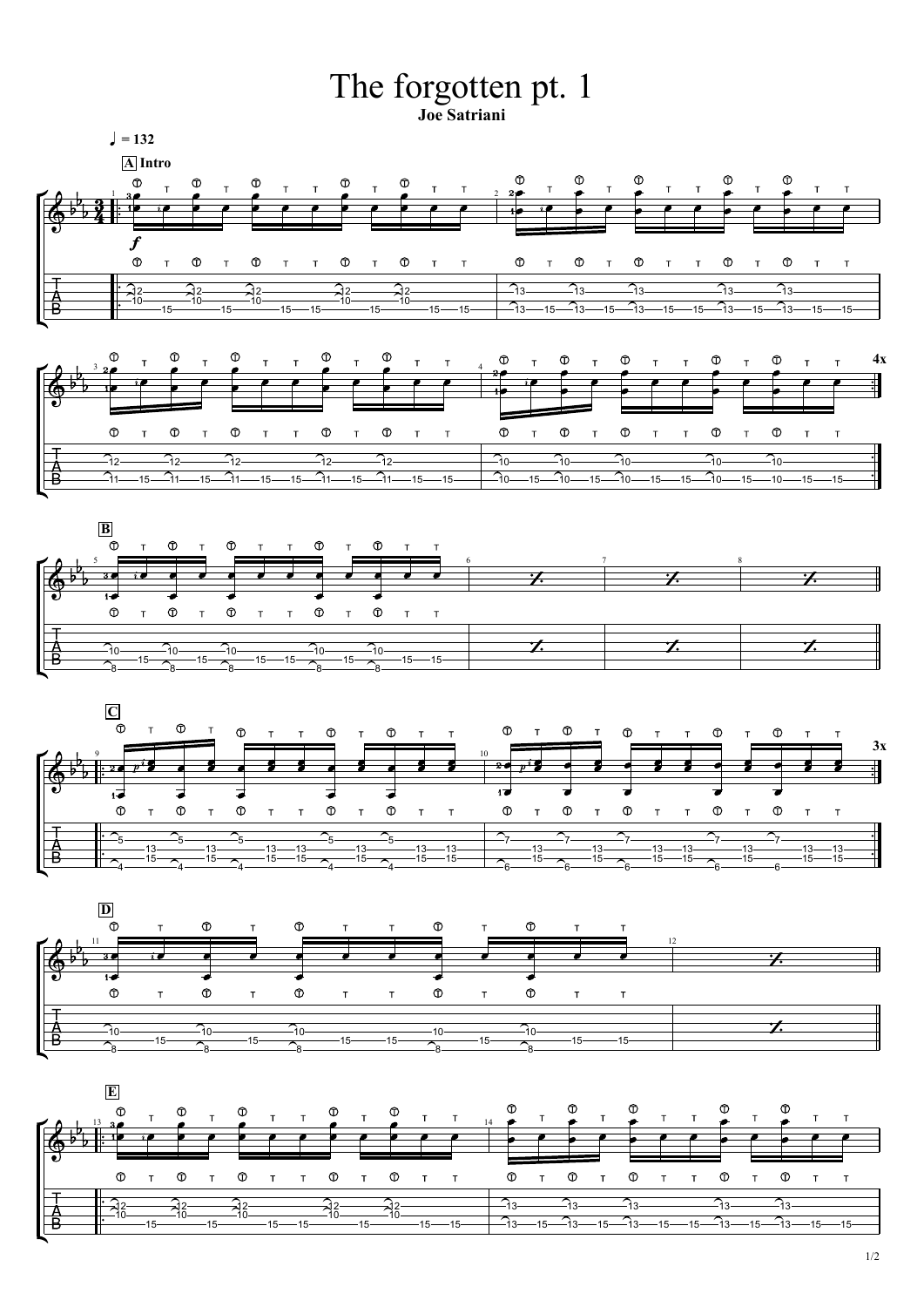1/2





**D**